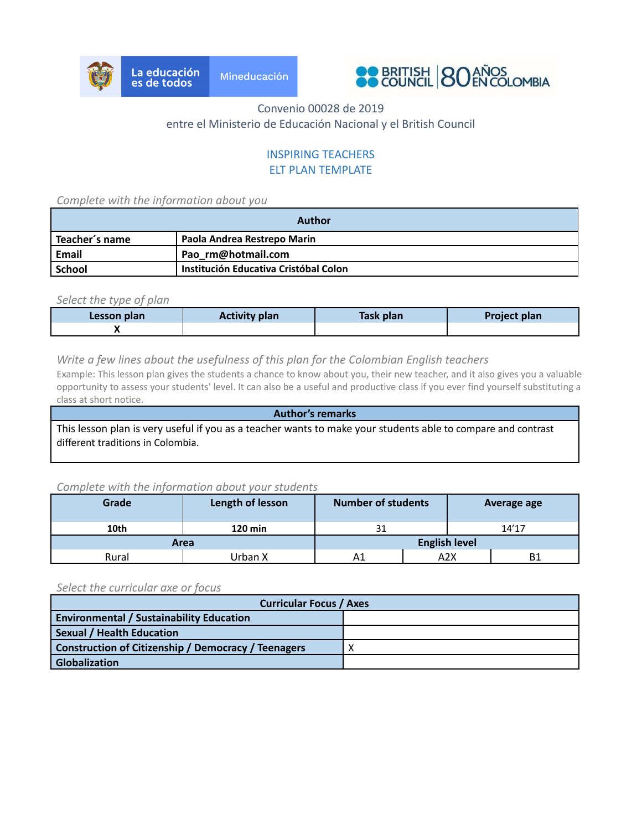



# Convenio 00028 de 2019 entre el Ministerio de Educación Nacional y el British Council

# INSPIRING TEACHERS ELT PLAN TEMPLATE

*Complete with the information about you*

| Author                                          |                                       |  |  |
|-------------------------------------------------|---------------------------------------|--|--|
| Paola Andrea Restrepo Marin<br>' Teacher's name |                                       |  |  |
| Email                                           | Pao rm@hotmail.com                    |  |  |
| School                                          | Institución Educativa Cristóbal Colon |  |  |

### *Select the type of plan*

| Lesson plan | <b>Activity plan</b> | Task plan | <b>Project plan</b> |
|-------------|----------------------|-----------|---------------------|
|             |                      |           |                     |

### *Write a few lines about the usefulness of this plan for the Colombian English teachers*

Example: This lesson plan gives the students a chance to know about you, their new teacher, and it also gives you a valuable opportunity to assess your students' level. It can also be a useful and productive class if you ever find yourself substituting a class at short notice.

**Author's remarks** This lesson plan is very useful if you as a teacher wants to make your students able to compare and contrast different traditions in Colombia.

### *Complete with the information about your students*

| Grade | Length of lesson | <b>Number of students</b> |                      | <b>Average age</b> |  |
|-------|------------------|---------------------------|----------------------|--------------------|--|
| 10th  | 120 min          | 31                        |                      | 14'17              |  |
| Area  |                  |                           | <b>English level</b> |                    |  |
| Rural | Urban X          | Α1                        | A2X                  | <b>B1</b>          |  |

#### *Select the curricular axe or focus*

| <b>Curricular Focus / Axes</b>                             |  |  |  |
|------------------------------------------------------------|--|--|--|
| <b>Environmental / Sustainability Education</b>            |  |  |  |
| <b>Sexual / Health Education</b>                           |  |  |  |
| <b>Construction of Citizenship / Democracy / Teenagers</b> |  |  |  |
| <b>Globalization</b>                                       |  |  |  |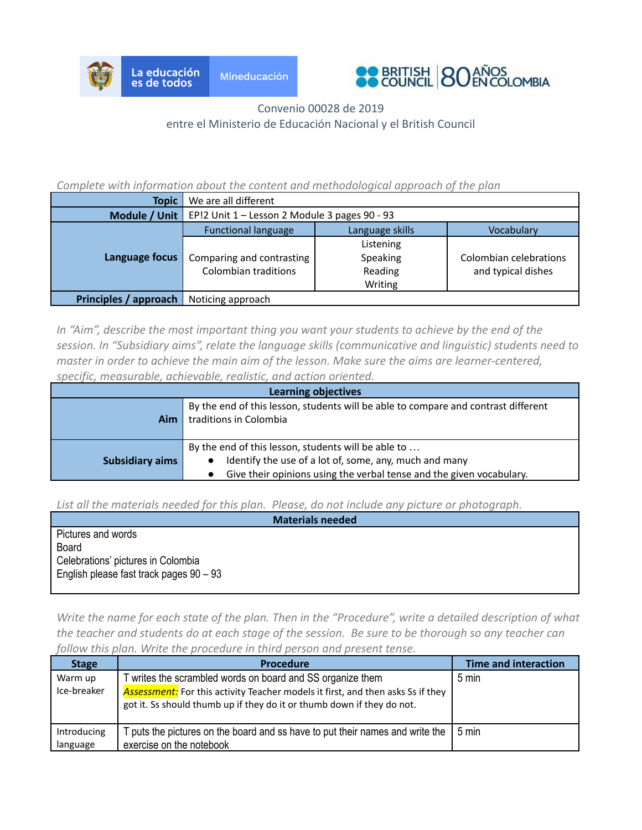



# Convenio 00028 de 2019 entre el Ministerio de Educación Nacional y el British Council

### *Complete with information about the content and methodological approach of the plan*

| <b>Topic</b>          | We are all different                          |                 |                        |  |
|-----------------------|-----------------------------------------------|-----------------|------------------------|--|
| Module / Unit         | EP!2 Unit 1 - Lesson 2 Module 3 pages 90 - 93 |                 |                        |  |
| Language focus        | <b>Functional language</b>                    | Language skills | Vocabulary             |  |
|                       | Listening                                     |                 |                        |  |
|                       | Comparing and contrasting                     | Speaking        | Colombian celebrations |  |
|                       | <b>Colombian traditions</b>                   | Reading         | and typical dishes     |  |
|                       |                                               | Writing         |                        |  |
| Principles / approach | Noticing approach                             |                 |                        |  |

*In "Aim", describe the most important thing you want your students to achieve by the end of the session. In "Subsidiary aims", relate the language skills (communicative and linguistic) students need to master in order to achieve the main aim of the lesson. Make sure the aims are learner-centered, specific, measurable, achievable, realistic, and action oriented.*

| <b>Learning objectives</b>                                                                                                                                                                                      |                                                                                                              |  |  |  |
|-----------------------------------------------------------------------------------------------------------------------------------------------------------------------------------------------------------------|--------------------------------------------------------------------------------------------------------------|--|--|--|
| Aim                                                                                                                                                                                                             | By the end of this lesson, students will be able to compare and contrast different<br>traditions in Colombia |  |  |  |
| By the end of this lesson, students will be able to<br>Identify the use of a lot of, some, any, much and many<br><b>Subsidiary aims</b><br>Give their opinions using the verbal tense and the given vocabulary. |                                                                                                              |  |  |  |

*List all the materials needed for this plan. Please, do not include any picture or photograph.*

| <b>Materials needed</b>                   |  |  |  |  |
|-------------------------------------------|--|--|--|--|
| Pictures and words                        |  |  |  |  |
| <b>Board</b>                              |  |  |  |  |
| Celebrations' pictures in Colombia        |  |  |  |  |
| English please fast track pages $90 - 93$ |  |  |  |  |
|                                           |  |  |  |  |

*Write the name for each state of the plan. Then in the "Procedure", write a detailed description of what the teacher and students do at each stage of the session. Be sure to be thorough so any teacher can follow this plan. Write the procedure in third person and present tense.*

| <b>Stage</b>            | <b>Procedure</b>                                                                                                                                                                                                             | <b>Time and interaction</b> |
|-------------------------|------------------------------------------------------------------------------------------------------------------------------------------------------------------------------------------------------------------------------|-----------------------------|
| Warm up<br>Ice-breaker  | writes the scrambled words on board and SS organize them<br><b>Assessment:</b> For this activity Teacher models it first, and then asks Ss if they<br>got it. Ss should thumb up if they do it or thumb down if they do not. | 5 min                       |
| Introducing<br>language | puts the pictures on the board and ss have to put their names and write the<br>exercise on the notebook                                                                                                                      | 5 min                       |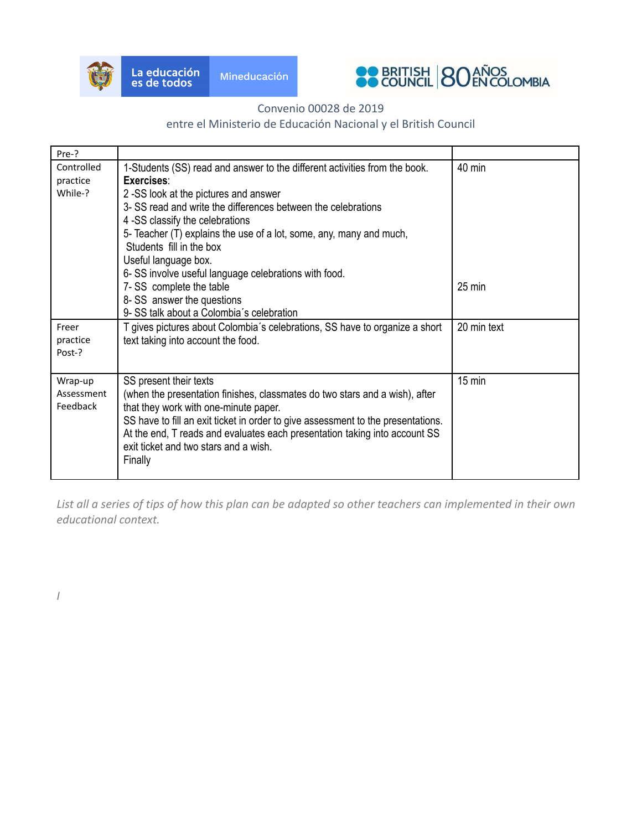

*I*



# Convenio 00028 de 2019

# entre el Ministerio de Educación Nacional y el British Council

| Pre-?                             |                                                                                                                                                                                                                                                                                                                                                                                                                                                       |                  |
|-----------------------------------|-------------------------------------------------------------------------------------------------------------------------------------------------------------------------------------------------------------------------------------------------------------------------------------------------------------------------------------------------------------------------------------------------------------------------------------------------------|------------------|
| Controlled<br>practice<br>While-? | 1-Students (SS) read and answer to the different activities from the book.<br>Exercises:<br>2 -SS look at the pictures and answer<br>3- SS read and write the differences between the celebrations<br>4 -SS classify the celebrations<br>5- Teacher (T) explains the use of a lot, some, any, many and much,<br>Students fill in the box<br>Useful language box.<br>6- SS involve useful language celebrations with food.<br>7- SS complete the table | 40 min<br>25 min |
|                                   | 8- SS answer the questions<br>9- SS talk about a Colombia's celebration                                                                                                                                                                                                                                                                                                                                                                               |                  |
| Freer<br>practice<br>Post-?       | T gives pictures about Colombia's celebrations, SS have to organize a short<br>text taking into account the food.                                                                                                                                                                                                                                                                                                                                     | 20 min text      |
| Wrap-up<br>Assessment<br>Feedback | SS present their texts<br>(when the presentation finishes, classmates do two stars and a wish), after<br>that they work with one-minute paper.<br>SS have to fill an exit ticket in order to give assessment to the presentations.<br>At the end, T reads and evaluates each presentation taking into account SS<br>exit ticket and two stars and a wish.<br>Finally                                                                                  | 15 min           |

*List all a series of tips of how this plan can be adapted so other teachers can implemented in their own educational context.*